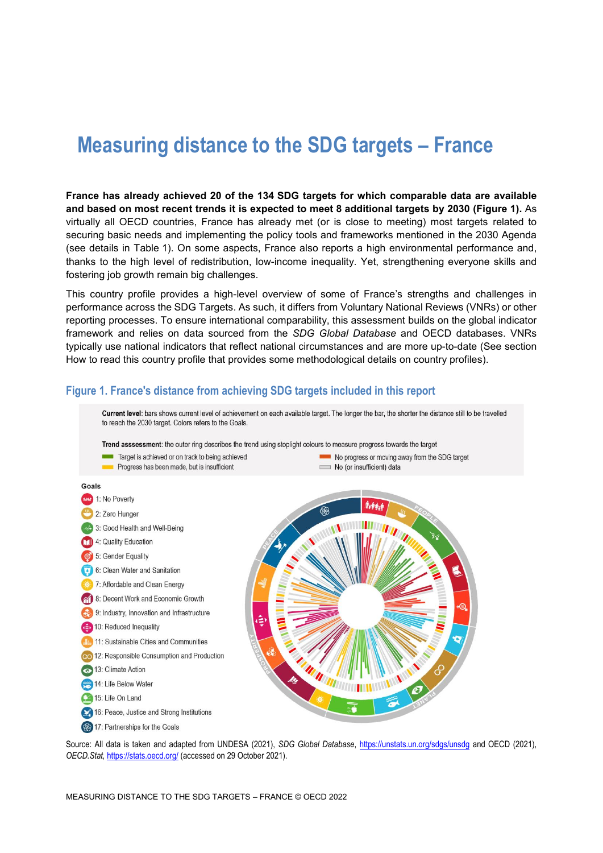# **Measuring distance to the SDG targets – France**

**France has already achieved 20 of the 134 SDG targets for which comparable data are available and based on most recent trends it is expected to meet 8 additional targets by 2030 [\(Figure](#page-0-0) 1).** As virtually all OECD countries, France has already met (or is close to meeting) most targets related to securing basic needs and implementing the policy tools and frameworks mentioned in the 2030 Agenda (see details in [Table](#page-3-0) 1). On some aspects, France also reports a high environmental performance and, thanks to the high level of redistribution, low-income inequality. Yet, strengthening everyone skills and fostering job growth remain big challenges.

This country profile provides a high-level overview of some of France's strengths and challenges in performance across the SDG Targets. As such, it differs from Voluntary National Reviews (VNRs) or other reporting processes. To ensure international comparability, this assessment builds on the global indicator framework and relies on data sourced from the *SDG Global Database* and OECD databases. VNRs typically use national indicators that reflect national circumstances and are more up-to-date (See section [How to read this](#page-8-0) country profile that provides some methodological details on country profiles).



<span id="page-0-0"></span>**Figure 1. France's distance from achieving SDG targets included in this report**

Source: All data is taken and adapted from UNDESA (2021), *SDG Global Database*,<https://unstats.un.org/sdgs/unsdg> and OECD (2021), *OECD.Stat,* <https://stats.oecd.org/> (accessed on 29 October 2021).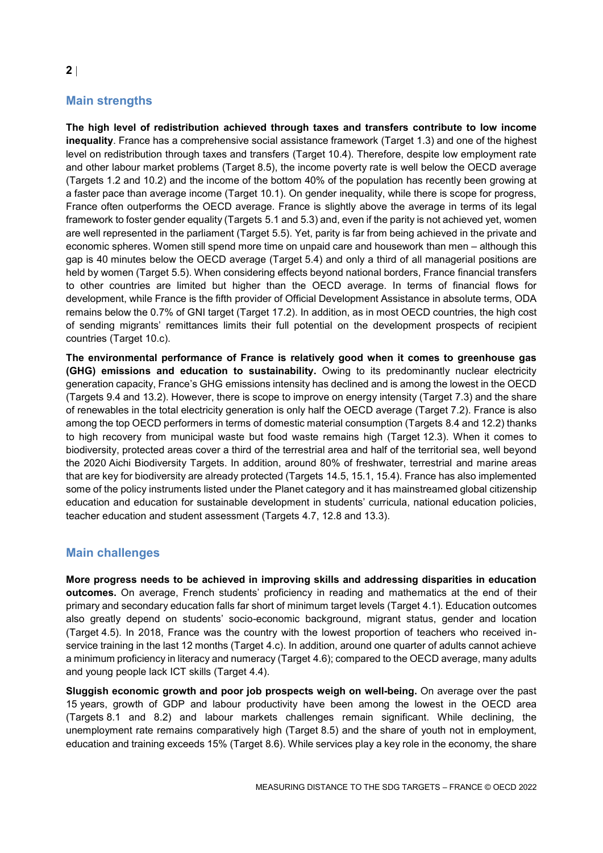# **Main strengths**

**The high level of redistribution achieved through taxes and transfers contribute to low income inequality**. France has a comprehensive social assistance framework (Target 1.3) and one of the highest level on redistribution through taxes and transfers (Target 10.4). Therefore, despite low employment rate and other labour market problems (Target 8.5), the income poverty rate is well below the OECD average (Targets 1.2 and 10.2) and the income of the bottom 40% of the population has recently been growing at a faster pace than average income (Target 10.1). On gender inequality, while there is scope for progress, France often outperforms the OECD average. France is slightly above the average in terms of its legal framework to foster gender equality (Targets 5.1 and 5.3) and, even if the parity is not achieved yet, women are well represented in the parliament (Target 5.5). Yet, parity is far from being achieved in the private and economic spheres. Women still spend more time on unpaid care and housework than men – although this gap is 40 minutes below the OECD average (Target 5.4) and only a third of all managerial positions are held by women (Target 5.5). When considering effects beyond national borders, France financial transfers to other countries are limited but higher than the OECD average. In terms of financial flows for development, while France is the fifth provider of Official Development Assistance in absolute terms, ODA remains below the 0.7% of GNI target (Target 17.2). In addition, as in most OECD countries, the high cost of sending migrants' remittances limits their full potential on the development prospects of recipient countries (Target 10.c).

**The environmental performance of France is relatively good when it comes to greenhouse gas (GHG) emissions and education to sustainability.** Owing to its predominantly nuclear electricity generation capacity, France's GHG emissions intensity has declined and is among the lowest in the OECD (Targets 9.4 and 13.2). However, there is scope to improve on energy intensity (Target 7.3) and the share of renewables in the total electricity generation is only half the OECD average (Target 7.2). France is also among the top OECD performers in terms of domestic material consumption (Targets 8.4 and 12.2) thanks to high recovery from municipal waste but food waste remains high (Target 12.3). When it comes to biodiversity, protected areas cover a third of the terrestrial area and half of the territorial sea, well beyond the 2020 Aichi Biodiversity Targets. In addition, around 80% of freshwater, terrestrial and marine areas that are key for biodiversity are already protected (Targets 14.5, 15.1, 15.4). France has also implemented some of the policy instruments listed under the Planet category and it has mainstreamed global citizenship education and education for sustainable development in students' curricula, national education policies, teacher education and student assessment (Targets 4.7, 12.8 and 13.3).

# **Main challenges**

**More progress needs to be achieved in improving skills and addressing disparities in education outcomes.** On average, French students' proficiency in reading and mathematics at the end of their primary and secondary education falls far short of minimum target levels (Target 4.1). Education outcomes also greatly depend on students' socio-economic background, migrant status, gender and location (Target 4.5). In 2018, France was the country with the lowest proportion of teachers who received inservice training in the last 12 months (Target 4.c). In addition, around one quarter of adults cannot achieve a minimum proficiency in literacy and numeracy (Target 4.6); compared to the OECD average, many adults and young people lack ICT skills (Target 4.4).

**Sluggish economic growth and poor job prospects weigh on well-being.** On average over the past 15 years, growth of GDP and labour productivity have been among the lowest in the OECD area (Targets 8.1 and 8.2) and labour markets challenges remain significant. While declining, the unemployment rate remains comparatively high (Target 8.5) and the share of youth not in employment, education and training exceeds 15% (Target 8.6). While services play a key role in the economy, the share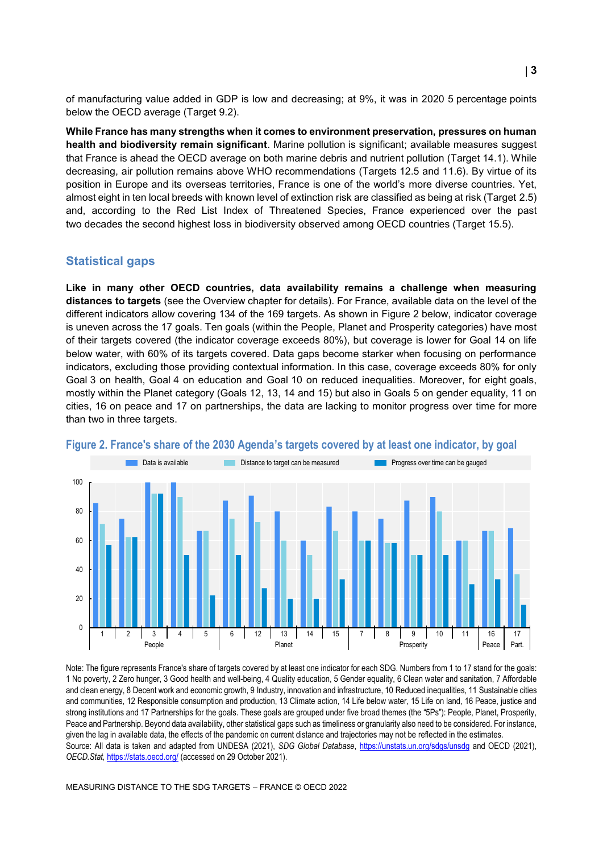of manufacturing value added in GDP is low and decreasing; at 9%, it was in 2020 5 percentage points below the OECD average (Target 9.2).

**While France has many strengths when it comes to environment preservation, pressures on human health and biodiversity remain significant**. Marine pollution is significant; available measures suggest that France is ahead the OECD average on both marine debris and nutrient pollution (Target 14.1). While decreasing, air pollution remains above WHO recommendations (Targets 12.5 and 11.6). By virtue of its position in Europe and its overseas territories, France is one of the world's more diverse countries. Yet, almost eight in ten local breeds with known level of extinction risk are classified as being at risk (Target 2.5) and, according to the Red List Index of Threatened Species, France experienced over the past two decades the second highest loss in biodiversity observed among OECD countries (Target 15.5).

#### **Statistical gaps**

**Like in many other OECD countries, data availability remains a challenge when measuring distances to targets** (see the Overview chapter for details). For France, available data on the level of the different indicators allow covering 134 of the 169 targets. As shown in [Figure](#page-2-0) 2 below, indicator coverage is uneven across the 17 goals. Ten goals (within the People, Planet and Prosperity categories) have most of their targets covered (the indicator coverage exceeds 80%), but coverage is lower for Goal 14 on life below water, with 60% of its targets covered. Data gaps become starker when focusing on performance indicators, excluding those providing contextual information. In this case, coverage exceeds 80% for only Goal 3 on health, Goal 4 on education and Goal 10 on reduced inequalities. Moreover, for eight goals, mostly within the Planet category (Goals 12, 13, 14 and 15) but also in Goals 5 on gender equality, 11 on cities, 16 on peace and 17 on partnerships, the data are lacking to monitor progress over time for more than two in three targets.



#### <span id="page-2-0"></span>**Figure 2. France's share of the 2030 Agenda's targets covered by at least one indicator, by goal**

Note: The figure represents France's share of targets covered by at least one indicator for each SDG. Numbers from 1 to 17 stand for the goals: 1 No poverty, 2 Zero hunger, 3 Good health and well-being, 4 Quality education, 5 Gender equality, 6 Clean water and sanitation, 7 Affordable and clean energy, 8 Decent work and economic growth, 9 Industry, innovation and infrastructure, 10 Reduced inequalities, 11 Sustainable cities and communities, 12 Responsible consumption and production, 13 Climate action, 14 Life below water, 15 Life on land, 16 Peace, justice and strong institutions and 17 Partnerships for the goals. These goals are grouped under five broad themes (the "5Ps"): People, Planet, Prosperity, Peace and Partnership. Beyond data availability, other statistical gaps such as timeliness or granularity also need to be considered. For instance, given the lag in available data, the effects of the pandemic on current distance and trajectories may not be reflected in the estimates. Source: All data is taken and adapted from UNDESA (2021), *SDG Global Database*,<https://unstats.un.org/sdgs/unsdg> and OECD (2021), *OECD.Stat,* <https://stats.oecd.org/> (accessed on 29 October 2021).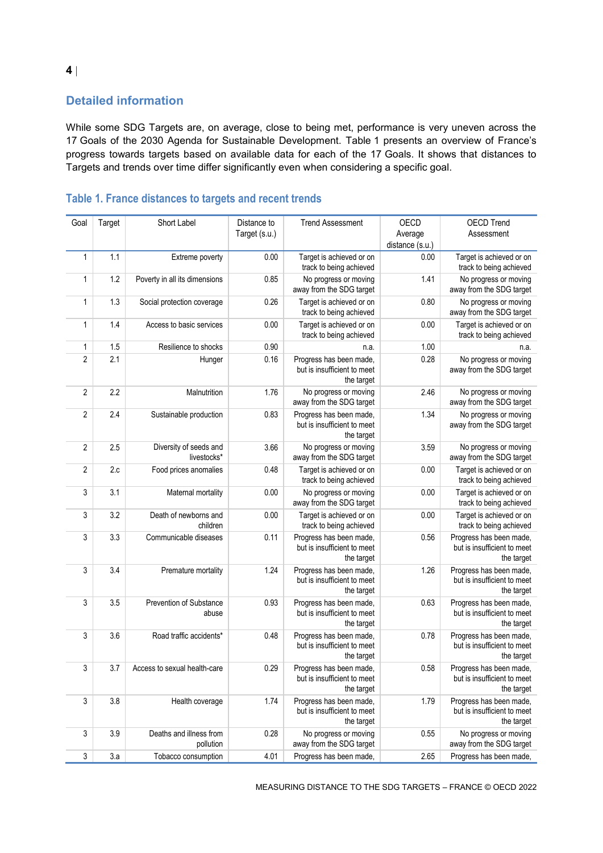# **Detailed information**

While some SDG Targets are, on average, close to being met, performance is very uneven across the 17 Goals of the 2030 Agenda for Sustainable Development. [Table](#page-3-0) 1 presents an overview of France's progress towards targets based on available data for each of the 17 Goals. It shows that distances to Targets and trends over time differ significantly even when considering a specific goal.

| Goal                      | Target | Short Label                           | Distance to<br>Target (s.u.) | <b>Trend Assessment</b>                                              | OECD<br>Average<br>distance (s.u.) | <b>OECD Trend</b><br>Assessment                                      |
|---------------------------|--------|---------------------------------------|------------------------------|----------------------------------------------------------------------|------------------------------------|----------------------------------------------------------------------|
| $\mathbf{1}$              | 1.1    | Extreme poverty                       | 0.00                         | Target is achieved or on<br>track to being achieved                  | 0.00                               | Target is achieved or on<br>track to being achieved                  |
| $\mathbf{1}$              | 1.2    | Poverty in all its dimensions         | 0.85                         | No progress or moving<br>away from the SDG target                    | 1.41                               | No progress or moving<br>away from the SDG target                    |
| 1                         | 1.3    | Social protection coverage            | 0.26                         | Target is achieved or on<br>track to being achieved                  | 0.80                               | No progress or moving<br>away from the SDG target                    |
| $\mathbf{1}$              | 1.4    | Access to basic services              | 0.00                         | Target is achieved or on<br>track to being achieved                  | 0.00                               | Target is achieved or on<br>track to being achieved                  |
| 1                         | 1.5    | Resilience to shocks                  | 0.90                         | n.a.                                                                 | 1.00                               | n.a.                                                                 |
| $\overline{2}$            | 2.1    | Hunger                                | 0.16                         | Progress has been made,<br>but is insufficient to meet<br>the target | 0.28                               | No progress or moving<br>away from the SDG target                    |
| $\overline{2}$            | 2.2    | Malnutrition                          | 1.76                         | No progress or moving<br>away from the SDG target                    | 2.46                               | No progress or moving<br>away from the SDG target                    |
| $\overline{2}$            | 2.4    | Sustainable production                | 0.83                         | Progress has been made,<br>but is insufficient to meet<br>the target | 1.34                               | No progress or moving<br>away from the SDG target                    |
| $\overline{2}$            | 2.5    | Diversity of seeds and<br>livestocks* | 3.66                         | No progress or moving<br>away from the SDG target                    | 3.59                               | No progress or moving<br>away from the SDG target                    |
| $\overline{2}$            | 2.c    | Food prices anomalies                 | 0.48                         | Target is achieved or on<br>track to being achieved                  | 0.00                               | Target is achieved or on<br>track to being achieved                  |
| 3                         | 3.1    | Maternal mortality                    | 0.00                         | No progress or moving<br>away from the SDG target                    | 0.00                               | Target is achieved or on<br>track to being achieved                  |
| 3                         | 3.2    | Death of newborns and<br>children     | 0.00                         | Target is achieved or on<br>track to being achieved                  | 0.00                               | Target is achieved or on<br>track to being achieved                  |
| 3                         | 3.3    | Communicable diseases                 | 0.11                         | Progress has been made,<br>but is insufficient to meet<br>the target | 0.56                               | Progress has been made,<br>but is insufficient to meet<br>the target |
| 3                         | 3.4    | Premature mortality                   | 1.24                         | Progress has been made,<br>but is insufficient to meet<br>the target | 1.26                               | Progress has been made,<br>but is insufficient to meet<br>the target |
| 3                         | 3.5    | Prevention of Substance<br>abuse      | 0.93                         | Progress has been made,<br>but is insufficient to meet<br>the target | 0.63                               | Progress has been made,<br>but is insufficient to meet<br>the target |
| 3                         | 3.6    | Road traffic accidents*               | 0.48                         | Progress has been made,<br>but is insufficient to meet<br>the target | 0.78                               | Progress has been made,<br>but is insufficient to meet<br>the target |
| 3                         | 3.7    | Access to sexual health-care          | 0.29                         | Progress has been made,<br>but is insufficient to meet<br>the target | 0.58                               | Progress has been made,<br>but is insufficient to meet<br>the target |
| $\sqrt{3}$                | 3.8    | Health coverage                       | 1.74                         | Progress has been made,<br>but is insufficient to meet<br>the target | 1.79                               | Progress has been made,<br>but is insufficient to meet<br>the target |
| 3                         | 3.9    | Deaths and illness from<br>pollution  | 0.28                         | No progress or moving<br>away from the SDG target                    | 0.55                               | No progress or moving<br>away from the SDG target                    |
| $\ensuremath{\mathsf{3}}$ | 3.a    | Tobacco consumption                   | 4.01                         | Progress has been made,                                              | 2.65                               | Progress has been made,                                              |

# <span id="page-3-0"></span>**Table 1. France distances to targets and recent trends**

MEASURING DISTANCE TO THE SDG TARGETS – FRANCE © OECD 2022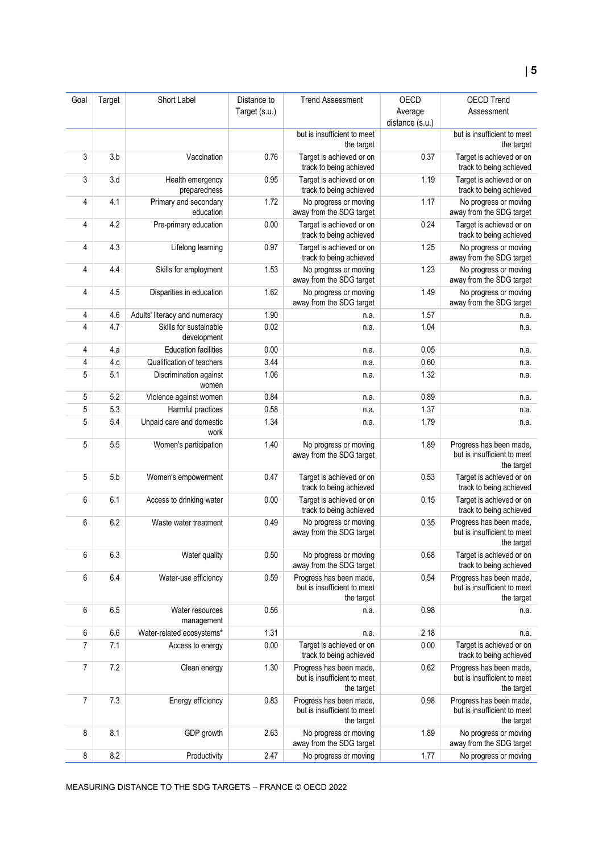| Goal           | Target | Short Label                           | Distance to   | <b>Trend Assessment</b>                                              | <b>OECD</b>     | <b>OECD Trend</b>                                                    |
|----------------|--------|---------------------------------------|---------------|----------------------------------------------------------------------|-----------------|----------------------------------------------------------------------|
|                |        |                                       | Target (s.u.) |                                                                      | Average         | Assessment                                                           |
|                |        |                                       |               |                                                                      | distance (s.u.) |                                                                      |
|                |        |                                       |               | but is insufficient to meet<br>the target                            |                 | but is insufficient to meet<br>the target                            |
| 3              | 3.b    | Vaccination                           | 0.76          | Target is achieved or on<br>track to being achieved                  | 0.37            | Target is achieved or on<br>track to being achieved                  |
| 3              | 3.d    | Health emergency<br>preparedness      | 0.95          | Target is achieved or on<br>track to being achieved                  | 1.19            | Target is achieved or on<br>track to being achieved                  |
| 4              | 4.1    | Primary and secondary<br>education    | 1.72          | No progress or moving<br>away from the SDG target                    | 1.17            | No progress or moving<br>away from the SDG target                    |
| 4              | 4.2    | Pre-primary education                 | 0.00          | Target is achieved or on<br>track to being achieved                  | 0.24            | Target is achieved or on<br>track to being achieved                  |
| 4              | 4.3    | Lifelong learning                     | 0.97          | Target is achieved or on<br>track to being achieved                  | 1.25            | No progress or moving<br>away from the SDG target                    |
| 4              | 4.4    | Skills for employment                 | 1.53          | No progress or moving<br>away from the SDG target                    | 1.23            | No progress or moving<br>away from the SDG target                    |
| 4              | 4.5    | Disparities in education              | 1.62          | No progress or moving<br>away from the SDG target                    | 1.49            | No progress or moving<br>away from the SDG target                    |
| 4              | 4.6    | Adults' literacy and numeracy         | 1.90          | n.a.                                                                 | 1.57            | n.a.                                                                 |
| 4              | 4.7    | Skills for sustainable<br>development | 0.02          | n.a.                                                                 | 1.04            | n.a.                                                                 |
| 4              | 4.a    | <b>Education facilities</b>           | 0.00          | n.a.                                                                 | 0.05            | n.a.                                                                 |
| 4              | 4.c    | Qualification of teachers             | 3.44          | n.a.                                                                 | 0.60            | n.a.                                                                 |
| 5              | 5.1    | Discrimination against<br>women       | 1.06          | n.a.                                                                 | 1.32            | n.a.                                                                 |
| 5              | 5.2    | Violence against women                | 0.84          | n.a.                                                                 | 0.89            | n.a.                                                                 |
| 5              | 5.3    | Harmful practices                     | 0.58          | n.a.                                                                 | 1.37            | n.a.                                                                 |
| 5              | 5.4    | Unpaid care and domestic<br>work      | 1.34          | n.a.                                                                 | 1.79            | n.a.                                                                 |
| 5              | 5.5    | Women's participation                 | 1.40          | No progress or moving<br>away from the SDG target                    | 1.89            | Progress has been made,<br>but is insufficient to meet<br>the target |
| 5              | 5.b    | Women's empowerment                   | 0.47          | Target is achieved or on<br>track to being achieved                  | 0.53            | Target is achieved or on<br>track to being achieved                  |
| 6              | 6.1    | Access to drinking water              | 0.00          | Target is achieved or on<br>track to being achieved                  | 0.15            | Target is achieved or on<br>track to being achieved                  |
| 6              | 6.2    | Waste water treatment                 | 0.49          | No progress or moving<br>away from the SDG target                    | 0.35            | Progress has been made,<br>but is insufficient to meet<br>the target |
| 6              | 6.3    | Water quality                         | 0.50          | No progress or moving<br>away from the SDG target                    | 0.68            | Target is achieved or on<br>track to being achieved                  |
| 6              | 6.4    | Water-use efficiency                  | 0.59          | Progress has been made,<br>but is insufficient to meet<br>the target | 0.54            | Progress has been made,<br>but is insufficient to meet<br>the target |
| 6              | 6.5    | Water resources<br>management         | 0.56          | n.a.                                                                 | 0.98            | n.a.                                                                 |
| 6              | 6.6    | Water-related ecosystems*             | 1.31          | n.a.                                                                 | 2.18            | n.a.                                                                 |
| $\overline{7}$ | 7.1    | Access to energy                      | 0.00          | Target is achieved or on<br>track to being achieved                  | 0.00            | Target is achieved or on<br>track to being achieved                  |
| 7              | 7.2    | Clean energy                          | 1.30          | Progress has been made,<br>but is insufficient to meet<br>the target | 0.62            | Progress has been made,<br>but is insufficient to meet<br>the target |
| $\overline{7}$ | 7.3    | Energy efficiency                     | 0.83          | Progress has been made,<br>but is insufficient to meet<br>the target | 0.98            | Progress has been made,<br>but is insufficient to meet<br>the target |
| 8              | 8.1    | GDP growth                            | 2.63          | No progress or moving<br>away from the SDG target                    | 1.89            | No progress or moving<br>away from the SDG target                    |
| 8              | 8.2    | Productivity                          | 2.47          | No progress or moving                                                | 1.77            | No progress or moving                                                |

MEASURING DISTANCE TO THE SDG TARGETS – FRANCE © OECD 2022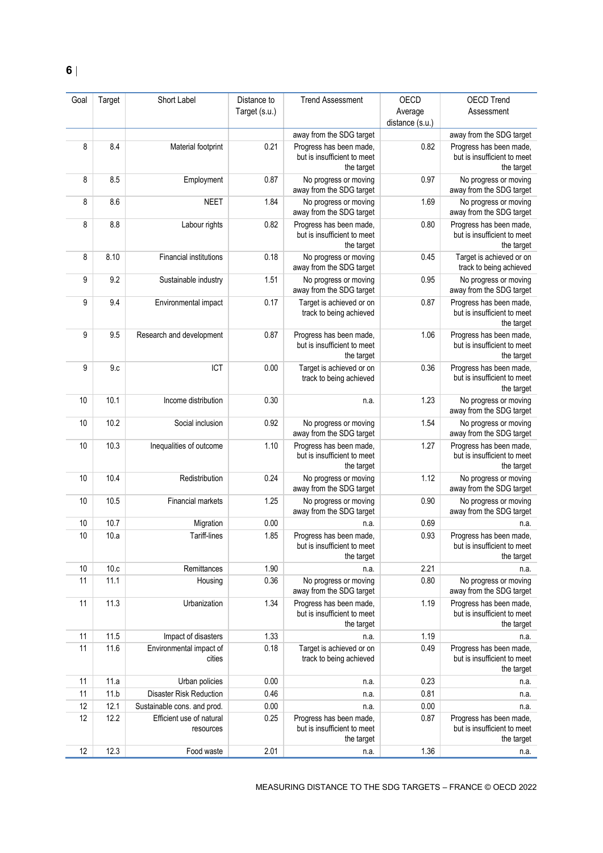| Goal | Target | Short Label                           | Distance to   | <b>Trend Assessment</b>                                              | OECD                       | <b>OECD Trend</b>                                                    |
|------|--------|---------------------------------------|---------------|----------------------------------------------------------------------|----------------------------|----------------------------------------------------------------------|
|      |        |                                       | Target (s.u.) |                                                                      | Average<br>distance (s.u.) | Assessment                                                           |
|      |        |                                       |               | away from the SDG target                                             |                            | away from the SDG target                                             |
| 8    | 8.4    | Material footprint                    | 0.21          | Progress has been made,<br>but is insufficient to meet<br>the target | 0.82                       | Progress has been made,<br>but is insufficient to meet<br>the target |
| 8    | 8.5    | Employment                            | 0.87          | No progress or moving<br>away from the SDG target                    | 0.97                       | No progress or moving<br>away from the SDG target                    |
| 8    | 8.6    | <b>NEET</b>                           | 1.84          | No progress or moving<br>away from the SDG target                    | 1.69                       | No progress or moving<br>away from the SDG target                    |
| 8    | 8.8    | Labour rights                         | 0.82          | Progress has been made,<br>but is insufficient to meet<br>the target | 0.80                       | Progress has been made,<br>but is insufficient to meet<br>the target |
| 8    | 8.10   | <b>Financial institutions</b>         | 0.18          | No progress or moving<br>away from the SDG target                    | 0.45                       | Target is achieved or on<br>track to being achieved                  |
| 9    | 9.2    | Sustainable industry                  | 1.51          | No progress or moving<br>away from the SDG target                    | 0.95                       | No progress or moving<br>away from the SDG target                    |
| 9    | 9.4    | Environmental impact                  | 0.17          | Target is achieved or on<br>track to being achieved                  | 0.87                       | Progress has been made.<br>but is insufficient to meet<br>the target |
| 9    | 9.5    | Research and development              | 0.87          | Progress has been made,<br>but is insufficient to meet<br>the target | 1.06                       | Progress has been made,<br>but is insufficient to meet<br>the target |
| 9    | 9.c    | ICT                                   | 0.00          | Target is achieved or on<br>track to being achieved                  | 0.36                       | Progress has been made,<br>but is insufficient to meet<br>the target |
| 10   | 10.1   | Income distribution                   | 0.30          | n.a.                                                                 | 1.23                       | No progress or moving<br>away from the SDG target                    |
| 10   | 10.2   | Social inclusion                      | 0.92          | No progress or moving<br>away from the SDG target                    | 1.54                       | No progress or moving<br>away from the SDG target                    |
| 10   | 10.3   | Inequalities of outcome               | 1.10          | Progress has been made,<br>but is insufficient to meet<br>the target | 1.27                       | Progress has been made,<br>but is insufficient to meet<br>the target |
| 10   | 10.4   | Redistribution                        | 0.24          | No progress or moving<br>away from the SDG target                    | 1.12                       | No progress or moving<br>away from the SDG target                    |
| 10   | 10.5   | Financial markets                     | 1.25          | No progress or moving<br>away from the SDG target                    | 0.90                       | No progress or moving<br>away from the SDG target                    |
| 10   | 10.7   | Migration                             | 0.00          | n.a.                                                                 | 0.69                       | n.a.                                                                 |
| 10   | 10.a   | <b>Tariff-lines</b>                   | 1.85          | Progress has been made,<br>but is insufficient to meet<br>the target | 0.93                       | Progress has been made,<br>but is insufficient to meet<br>the target |
| 10   | 10.c   | Remittances                           | 1.90          | n.a.                                                                 | 2.21                       | n.a.                                                                 |
| 11   | 11.1   | Housing                               | 0.36          | No progress or moving<br>away from the SDG target                    | 0.80                       | No progress or moving<br>away from the SDG target                    |
| 11   | 11.3   | Urbanization                          | 1.34          | Progress has been made,<br>but is insufficient to meet<br>the target | 1.19                       | Progress has been made,<br>but is insufficient to meet<br>the target |
| 11   | 11.5   | Impact of disasters                   | 1.33          | n.a.                                                                 | 1.19                       | n.a.                                                                 |
| 11   | 11.6   | Environmental impact of<br>cities     | 0.18          | Target is achieved or on<br>track to being achieved                  | 0.49                       | Progress has been made,<br>but is insufficient to meet<br>the target |
| 11   | 11.a   | Urban policies                        | 0.00          | n.a.                                                                 | 0.23                       | n.a.                                                                 |
| 11   | 11.b   | <b>Disaster Risk Reduction</b>        | 0.46          | n.a.                                                                 | 0.81                       | n.a.                                                                 |
| 12   | 12.1   | Sustainable cons. and prod.           | 0.00          | n.a.                                                                 | 0.00                       | n.a.                                                                 |
| 12   | 12.2   | Efficient use of natural<br>resources | 0.25          | Progress has been made,<br>but is insufficient to meet<br>the target | 0.87                       | Progress has been made,<br>but is insufficient to meet<br>the target |
| 12   | 12.3   | Food waste                            | 2.01          | n.a.                                                                 | 1.36                       | n.a.                                                                 |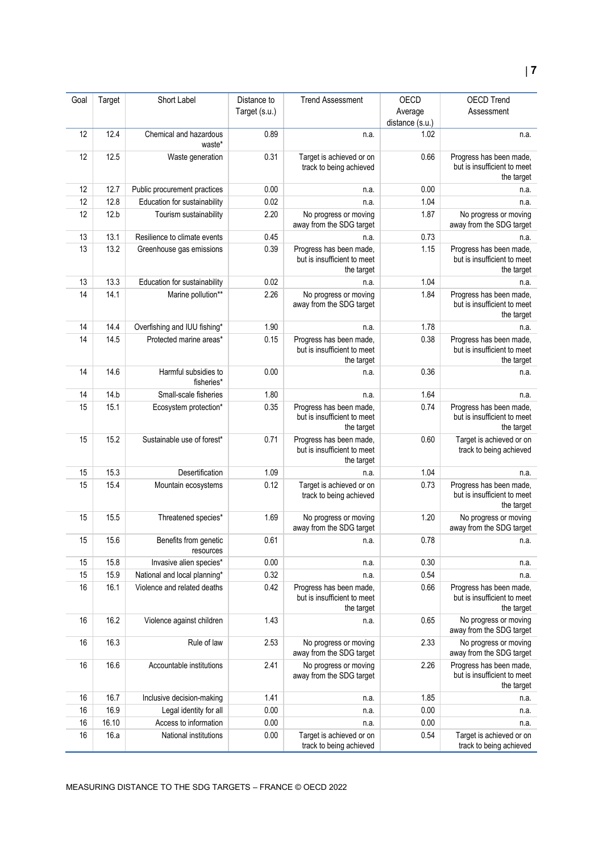#### Goal Target Short Label Distance to Target (s.u.) Trend Assessment OECD Average distance (s.u.) OECD Trend Assessment 12 12.4 Chemical and hazardous waste\* 0.89 n.a. 1.02 n.a. 12 12.5 Waste generation 0.31 Target is achieved or on track to being achieved 0.66 Progress has been made, but is insufficient to meet the target 12 12.7 Public procurement practices 0.00 n.a. 0.00 n.a. 12 12.8 Education for sustainability 10.02 n.a. 1.04 1.04 n.a. 12 12.b Tourism sustainability 2.20 No progress or moving away from the SDG target 1.87 No progress or moving away from the SDG target 13 13.1 Resilience to climate events 0.45 n.a. 0.73 n.a. 0.73 n.a. 13 13.2 Greenhouse gas emissions 0.39 Progress has been made, but is insufficient to meet the target 1.15 Progress has been made, but is insufficient to meet the target 13 13.3 Education for sustainability 0.02 n.a. 1.04 n.a. 14 14.1 Marine pollution\*\* 2.26 No progress or moving away from the SDG target 1.84 Progress has been made, but is insufficient to meet the target 14 14.4 Overfishing and IUU fishing\* 1.90 n.a. 1.78 n.a. 1.78 n.a. 14 14.5 Protected marine areas<sup>\*</sup> 0.15 Progress has been made, but is insufficient to meet the target 0.38 Progress has been made. but is insufficient to meet the target 14 14.6 Harmful subsidies to fisheries<sup>\*</sup> 0.00 n.a. 0.36 n.a. 14 14.b Small-scale fisheries 1.80 n.a. 1.64 1.64 n.a. 15 15.1 Ecosystem protection<sup>\*</sup> 0.35 Progress has been made, but is insufficient to meet the target 0.74 Progress has been made. but is insufficient to meet the target 15 15.2 Sustainable use of forest<sup>\*</sup> 15.2 Progress has been made but is insufficient to meet the target 0.60 Target is achieved or on track to being achieved 15 15.3 Desertification 1.09 n.a. 1.04 1.04 n.a. 15 15.4 Mountain ecosystems 0.12 Target is achieved or on track to being achieved 0.73 Progress has been made. but is insufficient to meet the target 15 15.5 Threatened species\* 1.69 No progress or moving away from the SDG target 1.20 No progress or moving away from the SDG target 15 15.6 Benefits from genetic resources 0.61 n.a. 0.78 n.a. 15 15.8 Invasive alien species\* 0.00 n.a. 0.30 n.a. 0.30 n.a. 0.30 n.a. 15 15.9 National and local planning\* 0.32 n.a. 0.54 n.a. 16 16.1 Violence and related deaths 0.42 Progress has been made, but is insufficient to meet the target 0.66 Progress has been made, but is insufficient to meet the target 16 16.2 Violence against children 1.43 n.a. 0.65 No progress or moving away from the SDG target 16 16.3 Rule of law 2.53 No progress or moving away from the SDG target 2.33 No progress or moving away from the SDG target 16 16.6 Accountable institutions 2.41 No progress or moving away from the SDG target 2.26 Progress has been made. but is insufficient to meet the target 16 16.7 Inclusive decision-making 1.41 n.a. 1.85 n.a. 16 16.9 Legal identity for all 0.00 n.a. 0.00 n.a. 16 16.10 Access to information 0.00 n.a. 0.00 n.a. 16 16.a National institutions 0.00 Target is achieved or on track to being achieved 0.54 Target is achieved or on track to being achieved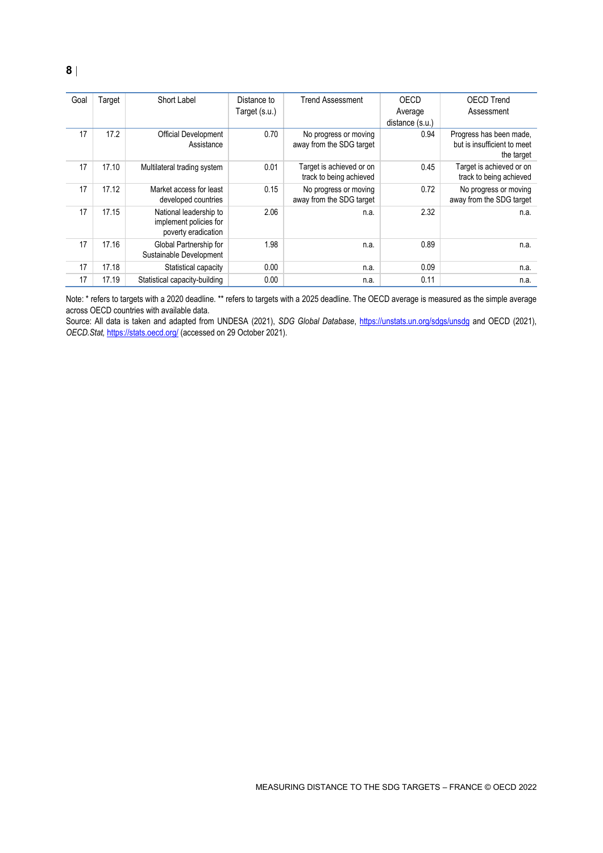| Goal | Target | Short Label                                      | Distance to   | <b>Trend Assessment</b>  | OECD            | <b>OECD Trend</b>                         |
|------|--------|--------------------------------------------------|---------------|--------------------------|-----------------|-------------------------------------------|
|      |        |                                                  | Target (s.u.) |                          | Average         | Assessment                                |
|      |        |                                                  |               |                          | distance (s.u.) |                                           |
| 17   | 17.2   | Official Development                             | 0.70          | No progress or moving    | 0.94            | Progress has been made,                   |
|      |        | Assistance                                       |               | away from the SDG target |                 | but is insufficient to meet<br>the target |
| 17   | 17.10  | Multilateral trading system                      | 0.01          | Target is achieved or on | 0.45            | Target is achieved or on                  |
|      |        |                                                  |               | track to being achieved  |                 | track to being achieved                   |
| 17   | 17.12  | Market access for least                          | 0.15          | No progress or moving    | 0.72            | No progress or moving                     |
|      |        | developed countries                              |               | away from the SDG target |                 | away from the SDG target                  |
| 17   | 17.15  | National leadership to<br>implement policies for | 2.06          | n.a.                     | 2.32            | n.a.                                      |
|      |        | poverty eradication                              |               |                          |                 |                                           |
| 17   | 17.16  | Global Partnership for                           | 1.98          | n.a.                     | 0.89            | n.a.                                      |
|      |        | Sustainable Development                          |               |                          |                 |                                           |
| 17   | 17.18  | Statistical capacity                             | 0.00          | n.a.                     | 0.09            | n.a.                                      |
| 17   | 17.19  | Statistical capacity-building                    | 0.00          | n.a.                     | 0.11            | n.a.                                      |

Note: \* refers to targets with a 2020 deadline. \*\* refers to targets with a 2025 deadline. The OECD average is measured as the simple average across OECD countries with available data.

Source: All data is taken and adapted from UNDESA (2021), *SDG Global Database*,<https://unstats.un.org/sdgs/unsdg> and OECD (2021), *OECD.Stat,* <https://stats.oecd.org/> (accessed on 29 October 2021).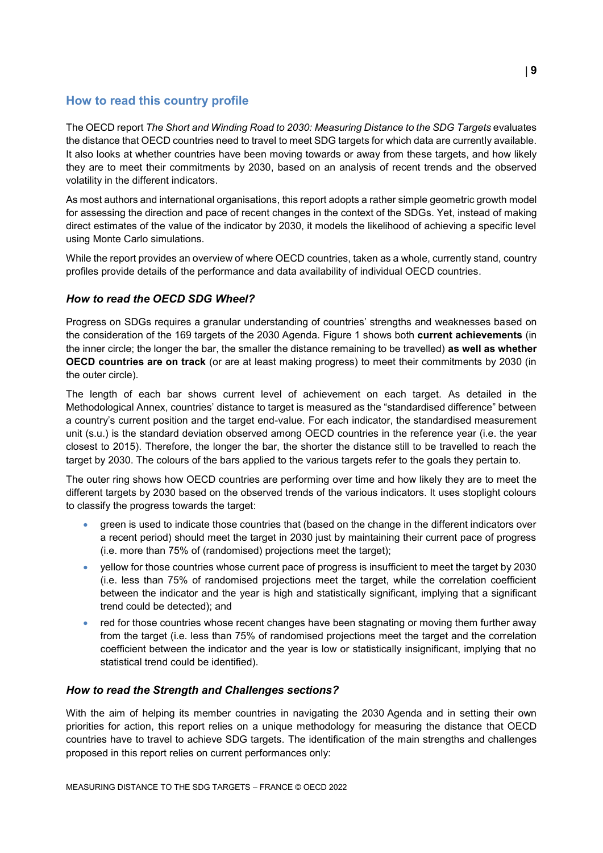# <span id="page-8-0"></span>**How to read this country profile**

The OECD report *The Short and Winding Road to 2030: Measuring Distance to the SDG Targets* evaluates the distance that OECD countries need to travel to meet SDG targets for which data are currently available. It also looks at whether countries have been moving towards or away from these targets, and how likely they are to meet their commitments by 2030, based on an analysis of recent trends and the observed volatility in the different indicators.

As most authors and international organisations, this report adopts a rather simple geometric growth model for assessing the direction and pace of recent changes in the context of the SDGs. Yet, instead of making direct estimates of the value of the indicator by 2030, it models the likelihood of achieving a specific level using Monte Carlo simulations.

While the report provides an overview of where OECD countries, taken as a whole, currently stand, country profiles provide details of the performance and data availability of individual OECD countries.

# *How to read the OECD SDG Wheel?*

Progress on SDGs requires a granular understanding of countries' strengths and weaknesses based on the consideration of the 169 targets of the 2030 Agenda. [Figure](#page-0-0) 1 shows both **current achievements** (in the inner circle; the longer the bar, the smaller the distance remaining to be travelled) **as well as whether OECD countries are on track** (or are at least making progress) to meet their commitments by 2030 (in the outer circle).

The length of each bar shows current level of achievement on each target. As detailed in the Methodological Annex, countries' distance to target is measured as the "standardised difference" between a country's current position and the target end-value. For each indicator, the standardised measurement unit (s.u.) is the standard deviation observed among OECD countries in the reference year (i.e. the year closest to 2015). Therefore, the longer the bar, the shorter the distance still to be travelled to reach the target by 2030. The colours of the bars applied to the various targets refer to the goals they pertain to.

The outer ring shows how OECD countries are performing over time and how likely they are to meet the different targets by 2030 based on the observed trends of the various indicators. It uses stoplight colours to classify the progress towards the target:

- green is used to indicate those countries that (based on the change in the different indicators over a recent period) should meet the target in 2030 just by maintaining their current pace of progress (i.e. more than 75% of (randomised) projections meet the target);
- yellow for those countries whose current pace of progress is insufficient to meet the target by 2030 (i.e. less than 75% of randomised projections meet the target, while the correlation coefficient between the indicator and the year is high and statistically significant, implying that a significant trend could be detected); and
- red for those countries whose recent changes have been stagnating or moving them further away from the target (i.e. less than 75% of randomised projections meet the target and the correlation coefficient between the indicator and the year is low or statistically insignificant, implying that no statistical trend could be identified).

# *How to read the Strength and Challenges sections?*

With the aim of helping its member countries in navigating the 2030 Agenda and in setting their own priorities for action, this report relies on a unique methodology for measuring the distance that OECD countries have to travel to achieve SDG targets. The identification of the main strengths and challenges proposed in this report relies on current performances only: